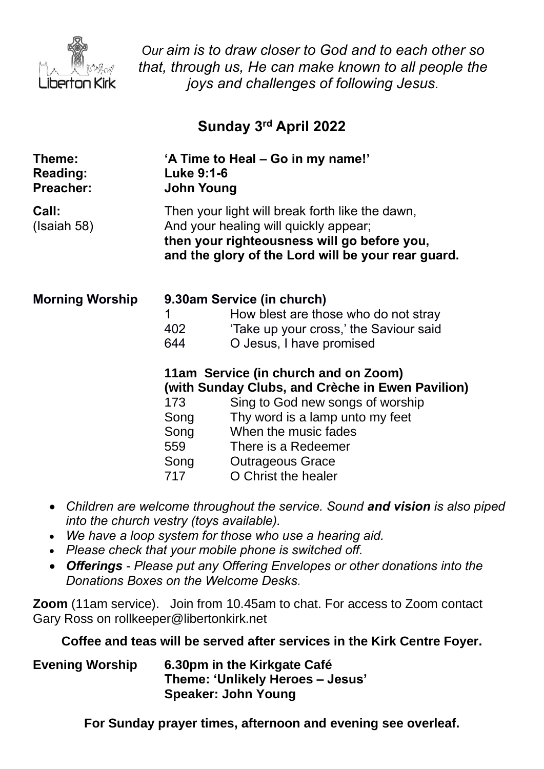

*Our aim is to draw closer to God and to each other so that, through us, He can make known to all people the joys and challenges of following Jesus.*

# **Sunday 3 rd April 2022**

| Theme:<br><b>Reading:</b><br><b>Preacher:</b> | 'A Time to Heal – Go in my name!'<br><b>Luke 9:1-6</b><br><b>John Young</b>                                                                                                                   |                                        |
|-----------------------------------------------|-----------------------------------------------------------------------------------------------------------------------------------------------------------------------------------------------|----------------------------------------|
| Call:<br>(Isaiah 58)                          | Then your light will break forth like the dawn,<br>And your healing will quickly appear;<br>then your righteousness will go before you,<br>and the glory of the Lord will be your rear guard. |                                        |
| <b>Morning Worship</b>                        | 9.30am Service (in church)                                                                                                                                                                    |                                        |
|                                               | 1                                                                                                                                                                                             | How blest are those who do not stray   |
|                                               | 402                                                                                                                                                                                           | 'Take up your cross,' the Saviour said |
|                                               | 644                                                                                                                                                                                           | O Jesus, I have promised               |
|                                               | 11am Service (in church and on Zoom)<br>(with Sunday Clubs, and Crèche in Ewen Pavilion)                                                                                                      |                                        |
|                                               | 173                                                                                                                                                                                           | Sing to God new songs of worship       |
|                                               | Song                                                                                                                                                                                          | Thy word is a lamp unto my feet        |
|                                               | Song                                                                                                                                                                                          | When the music fades                   |
|                                               |                                                                                                                                                                                               | 559 There is a Redeemer                |
|                                               |                                                                                                                                                                                               | Song Outrageous Grace                  |
|                                               | 717                                                                                                                                                                                           | O Christ the healer                    |
|                                               |                                                                                                                                                                                               |                                        |

- *Children are welcome throughout the service. Sound and vision is also piped into the church vestry (toys available).*
- *We have a loop system for those who use a hearing aid.*
- *Please check that your mobile phone is switched off.*
- *Offerings - Please put any Offering Envelopes or other donations into the Donations Boxes on the Welcome Desks.*

**Zoom** (11am service).Join from 10.45am to chat. For access to Zoom contact Gary Ross on rollkeeper@libertonkirk.net

**Coffee and teas will be served after services in the Kirk Centre Foyer.**

**Evening Worship 6.30pm in the Kirkgate Café Theme: 'Unlikely Heroes – Jesus' Speaker: John Young**

**For Sunday prayer times, afternoon and evening see overleaf.**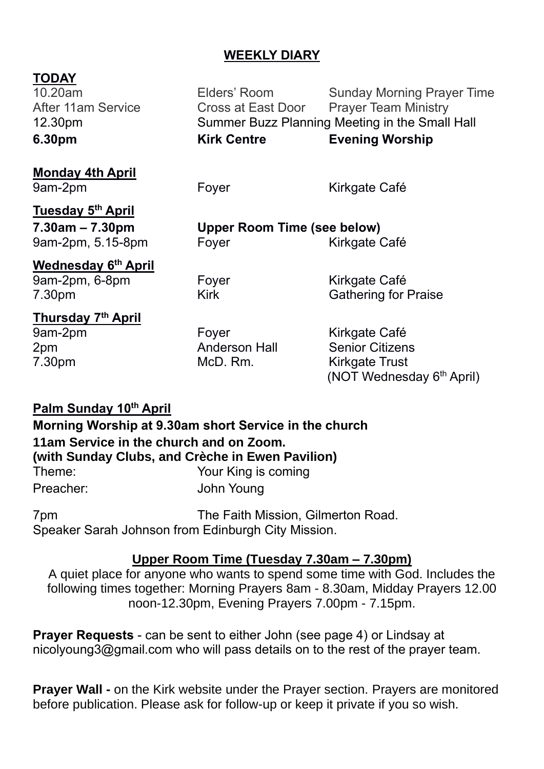#### **WEEKLY DIARY**

# **TODAY**<br>10.20am

Elders' Room Sunday Morning Prayer Time After 11am Service **Cross at East Door** Prayer Team Ministry 12.30pm Summer Buzz Planning Meeting in the Small Hall **6.30pm Kirk Centre Evening Worship**

**Monday 4th April** 9am-2pm Foyer Form Kirkgate Café

**Tuesday 5 th April**

**7.30am – 7.30pm Upper Room Time (see below)** 9am-2pm, 5.15-8pm Foyer Form Kirkgate Café

**Wednesday 6 th April**

9am-2pm, 6-8pm Foyer Form Kirkgate Café 7.30pm Kirk Kirk Gathering for Praise

# **Thursday 7 th April**

9am-2pm Foyer Form Kirkgate Café 2pm Anderson Hall Senior Citizens McD. Rm. Kirkgate Trust (NOT Wednesday 6<sup>th</sup> April)

# **Palm Sunday 10th April**

**Morning Worship at 9.30am short Service in the church 11am Service in the church and on Zoom. (with Sunday Clubs, and Crèche in Ewen Pavilion)** Theme: Your King is coming Preacher: John Young

7pm The Faith Mission, Gilmerton Road. Speaker Sarah Johnson from Edinburgh City Mission.

#### **Upper Room Time (Tuesday 7.30am – 7.30pm)**

A quiet place for anyone who wants to spend some time with God. Includes the following times together: Morning Prayers 8am - 8.30am, Midday Prayers 12.00 noon-12.30pm, Evening Prayers 7.00pm - 7.15pm.

**Prayer Requests** - can be sent to either John (see page 4) or Lindsay at [nicolyoung3@gmail.com](mailto:nicolyoung3@gmail.com) who will pass details on to the rest of the prayer team.

**Prayer Wall -** on the Kirk website under the Prayer section. Prayers are monitored before publication. Please ask for follow-up or keep it private if you so wish.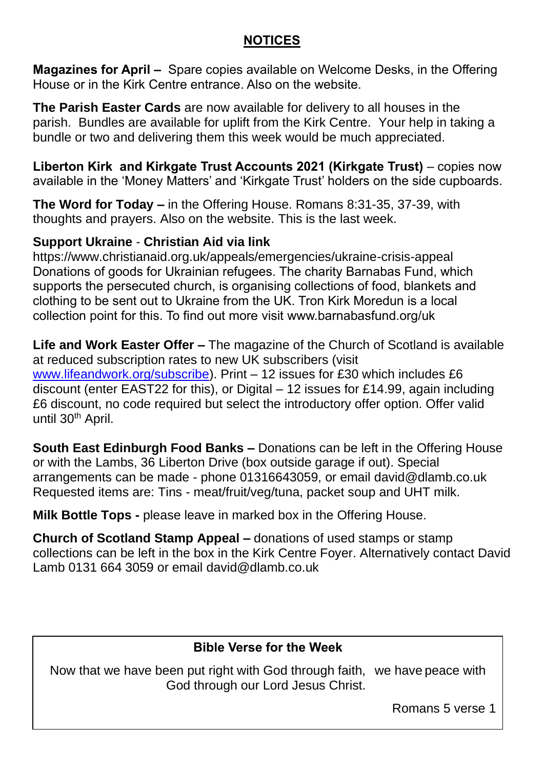### **NOTICES**

**Magazines for April –** Spare copies available on Welcome Desks, in the Offering House or in the Kirk Centre entrance. Also on the website.

**The Parish Easter Cards** are now available for delivery to all houses in the parish. Bundles are available for uplift from the Kirk Centre. Your help in taking a bundle or two and delivering them this week would be much appreciated.

**Liberton Kirk and Kirkgate Trust Accounts 2021 (Kirkgate Trust)** – copies now available in the 'Money Matters' and 'Kirkgate Trust' holders on the side cupboards.

**The Word for Today –** in the Offering House. Romans 8:31-35, 37-39, with thoughts and prayers. Also on the website. This is the last week.

#### **Support Ukraine** - **Christian Aid via link**

<https://www.christianaid.org.uk/appeals/emergencies/ukraine-crisis-appeal> Donations of goods for Ukrainian refugees. The charity Barnabas Fund, which supports the persecuted church, is organising collections of food, blankets and clothing to be sent out to Ukraine from the UK. Tron Kirk Moredun is a local collection point for this. To find out more visit [www.barnabasfund.org/uk](http://www.barnabasfund.org/uk) 

**Life and Work Easter Offer –** The magazine of the Church of Scotland is available at reduced subscription rates to new UK subscribers (visit [www.lifeandwork.org/subscribe\)](http://www.lifeandwork.org/subscribe). Print – 12 issues for £30 which includes £6 discount (enter EAST22 for this), or Digital – 12 issues for £14.99, again including £6 discount, no code required but select the introductory offer option. Offer valid until 30<sup>th</sup> April.

**South East Edinburgh Food Banks –** Donations can be left in the Offering House or with the Lambs, 36 Liberton Drive (box outside garage if out). Special arrangements can be made - phone 01316643059, or email [david@dlamb.co.uk](mailto:david@dlamb.co.uk)  Requested items are: Tins - meat/fruit/veg/tuna, packet soup and UHT milk.

**Milk Bottle Tops -** please leave in marked box in the Offering House.

**Church of Scotland Stamp Appeal –** donations of used stamps or stamp collections can be left in the box in the Kirk Centre Foyer. Alternatively contact David Lamb 0131 664 3059 or email [david@dlamb.co.uk](mailto:david@dlamb.co.uk)

#### **Bible Verse for the Week**

Now that we have been put right with God through faith, we have peace with God through our Lord Jesus Christ.

Romans 5 verse 1